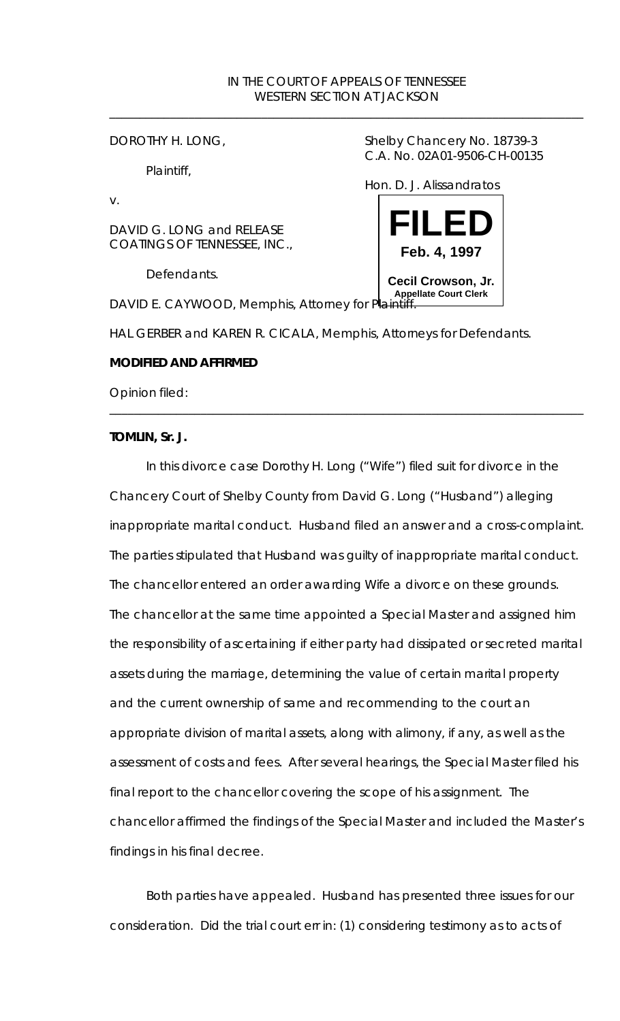## IN THE COURT OF APPEALS OF TENNESSEE WESTERN SECTION AT JACKSON

\_\_\_\_\_\_\_\_\_\_\_\_\_\_\_\_\_\_\_\_\_\_\_\_\_\_\_\_\_\_\_\_\_\_\_\_\_\_\_\_\_\_\_\_\_\_\_\_\_\_\_\_\_\_\_\_\_\_\_\_\_\_\_\_\_\_\_\_\_\_\_\_\_\_\_\_\_\_

Plaintiff,

v.

DAVID G. LONG and RELEASE COATINGS OF TENNESSEE, INC.,

Defendants.

DOROTHY H. LONG, Shelby Chancery No. 18739-3 C.A. No. 02A01-9506-CH-00135

Hon. D. J. Alissandratos



HAL GERBER and KAREN R. CICALA, Memphis, Attorneys for Defendants.

\_\_\_\_\_\_\_\_\_\_\_\_\_\_\_\_\_\_\_\_\_\_\_\_\_\_\_\_\_\_\_\_\_\_\_\_\_\_\_\_\_\_\_\_\_\_\_\_\_\_\_\_\_\_\_\_\_\_\_\_\_\_\_\_\_\_\_\_\_\_\_\_\_\_\_\_\_\_

*MODIFIED AND AFFIRMED*

Opinion filed:

**TOMLIN, Sr. J.**

In this divorce case Dorothy H. Long ("Wife") filed suit for divorce in the Chancery Court of Shelby County from David G. Long ("Husband") alleging inappropriate marital conduct. Husband filed an answer and a cross-complaint. The parties stipulated that Husband was guilty of inappropriate marital conduct. The chancellor entered an order awarding Wife a divorce on these grounds. The chancellor at the same time appointed a Special Master and assigned him the responsibility of ascertaining if either party had dissipated or secreted marital assets during the marriage, determining the value of certain marital property and the current ownership of same and recommending to the court an appropriate division of marital assets, along with alimony, if any, as well as the assessment of costs and fees. After several hearings, the Special Master filed his final report to the chancellor covering the scope of his assignment. The chancellor affirmed the findings of the Special Master and included the Master's findings in his final decree.

Both parties have appealed. Husband has presented three issues for our consideration. Did the trial court err in: (1) considering testimony as to acts of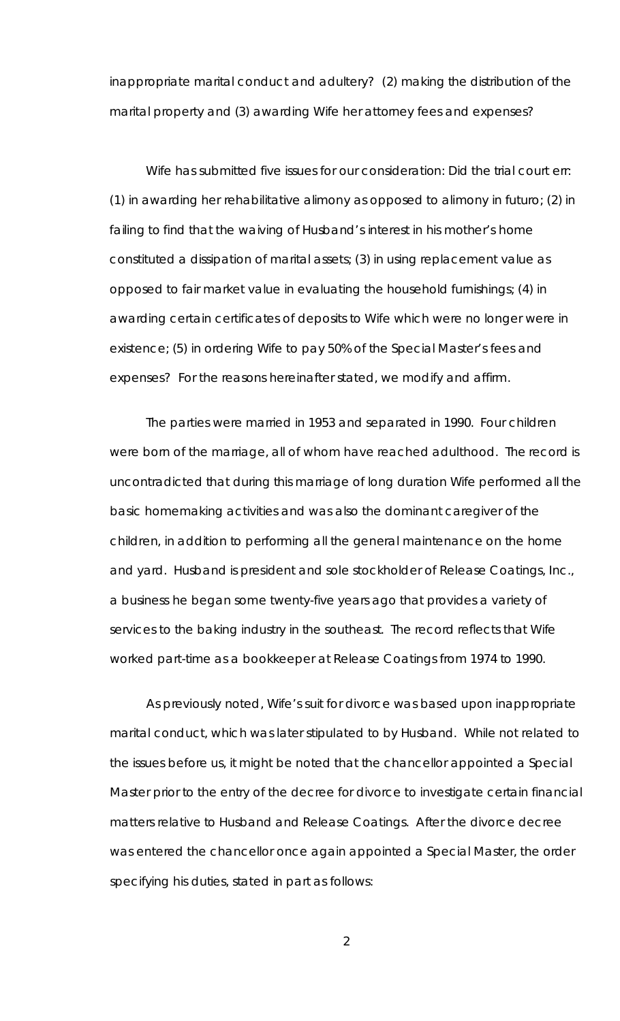inappropriate marital conduct and adultery? (2) making the distribution of the marital property and (3) awarding Wife her attorney fees and expenses?

Wife has submitted five issues for our consideration: Did the trial court err: (1) in awarding her rehabilitative alimony as opposed to alimony *in futuro*; (2) in failing to find that the waiving of Husband's interest in his mother's home constituted a dissipation of marital assets; (3) in using replacement value as opposed to fair market value in evaluating the household furnishings; (4) in awarding certain certificates of deposits to Wife which were no longer were in existence; (5) in ordering Wife to pay 50% of the Special Master's fees and expenses? For the reasons hereinafter stated, we modify and affirm.

The parties were married in 1953 and separated in 1990. Four children were born of the marriage, all of whom have reached adulthood. The record is uncontradicted that during this marriage of long duration Wife performed all the basic homemaking activities and was also the dominant caregiver of the children, in addition to performing all the general maintenance on the home and yard. Husband is president and sole stockholder of Release Coatings, Inc., a business he began some twenty-five years ago that provides a variety of services to the baking industry in the southeast. The record reflects that Wife worked part-time as a bookkeeper at Release Coatings from 1974 to 1990.

As previously noted, Wife's suit for divorce was based upon inappropriate marital conduct, which was later stipulated to by Husband. While not related to the issues before us, it might be noted that the chancellor appointed a Special Master prior to the entry of the decree for divorce to investigate certain financial matters relative to Husband and Release Coatings. After the divorce decree was entered the chancellor once again appointed a Special Master, the order specifying his duties, stated in part as follows: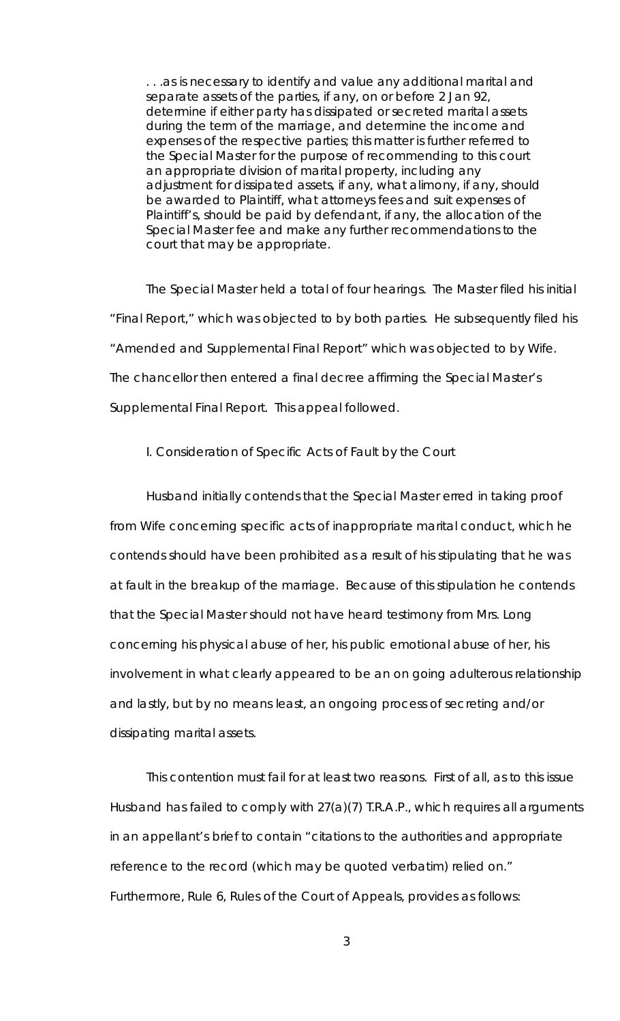... as is necessary to identify and value any additional marital and separate assets of the parties, if any, on or before 2 Jan 92, determine if either party has dissipated or secreted marital assets during the term of the marriage, and determine the income and expenses of the respective parties; this matter is further referred to the Special Master for the purpose of recommending to this court an appropriate division of marital property, including any adjustment for dissipated assets, if any, what alimony, if any, should be awarded to Plaintiff, what attorneys fees and suit expenses of Plaintiff's, should be paid by defendant, if any, the allocation of the Special Master fee and make any further recommendations to the court that may be appropriate.

The Special Master held a total of four hearings. The Master filed his initial "Final Report," which was objected to by both parties. He subsequently filed his "Amended and Supplemental Final Report" which was objected to by Wife. The chancellor then entered a final decree affirming the Special Master's Supplemental Final Report. This appeal followed.

# I. Consideration of Specific Acts of Fault by the Court

Husband initially contends that the Special Master erred in taking proof from Wife concerning specific acts of inappropriate marital conduct, which he contends should have been prohibited as a result of his stipulating that he was at fault in the breakup of the marriage. Because of this stipulation he contends that the Special Master should not have heard testimony from Mrs. Long concerning his physical abuse of her, his public emotional abuse of her, his involvement in what clearly appeared to be an on going adulterous relationship and lastly, but by no means least, an ongoing process of secreting and/or dissipating marital assets.

This contention must fail for at least two reasons. First of all, as to this issue Husband has failed to comply with 27(a)(7) T.R.A.P., which requires all arguments in an appellant's brief to contain "citations to the authorities and appropriate reference to the record (which may be quoted verbatim) relied on." Furthermore, Rule 6, Rules of the Court of Appeals, provides as follows: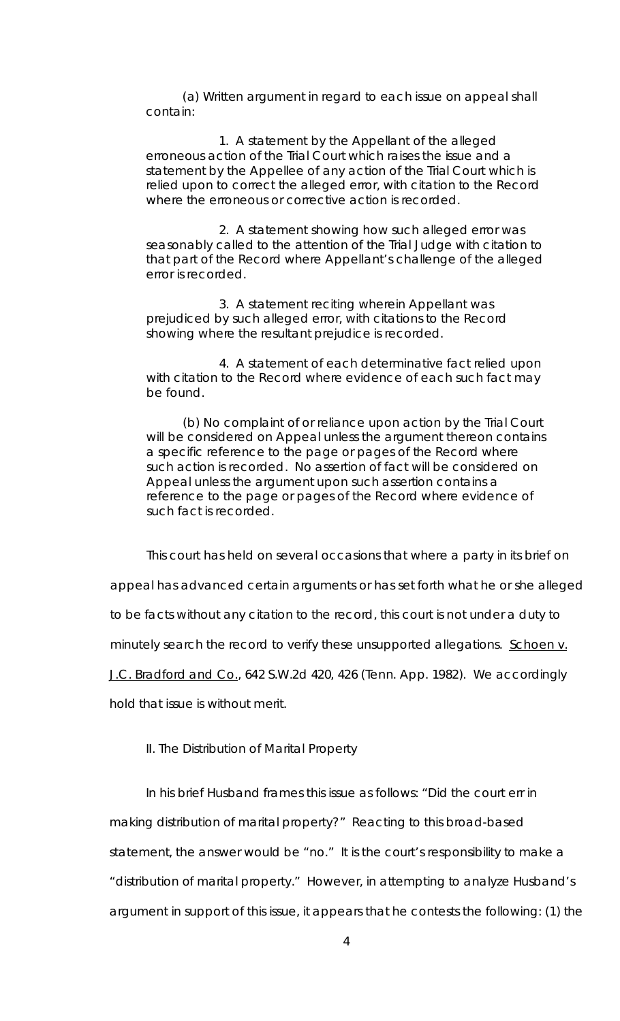(a) Written argument in regard to each issue on appeal shall contain:

1. A statement by the Appellant of the alleged erroneous action of the Trial Court which raises the issue and a statement by the Appellee of any action of the Trial Court which is relied upon to correct the alleged error, with citation to the Record where the erroneous or corrective action is recorded.

2. A statement showing how such alleged error was seasonably called to the attention of the Trial Judge with citation to that part of the Record where Appellant's challenge of the alleged error is recorded.

3. A statement reciting wherein Appellant was prejudiced by such alleged error, with citations to the Record showing where the resultant prejudice is recorded.

4. A statement of each determinative fact relied upon with citation to the Record where evidence of each such fact may be found.

(b) No complaint of or reliance upon action by the Trial Court will be considered on Appeal unless the argument thereon contains a specific reference to the page or pages of the Record where such action is recorded. No assertion of fact will be considered on Appeal unless the argument upon such assertion contains a reference to the page or pages of the Record where evidence of such fact is recorded.

This court has held on several occasions that where a party in its brief on

appeal has advanced certain arguments or has set forth what he or she alleged

to be facts without any citation to the record, this court is not under a duty to

minutely search the record to verify these unsupported allegations. Schoen v.

J.C. Bradford and Co., 642 S.W.2d 420, 426 (Tenn. App. 1982). We accordingly

hold that issue is without merit.

### II. The Distribution of Marital Property

In his brief Husband frames this issue as follows: "Did the court err in making distribution of marital property?" Reacting to this broad-based statement, the answer would be "no." It is the court's responsibility to make a "distribution of marital property." However, in attempting to analyze Husband's argument in support of this issue, it appears that he contests the following: (1) the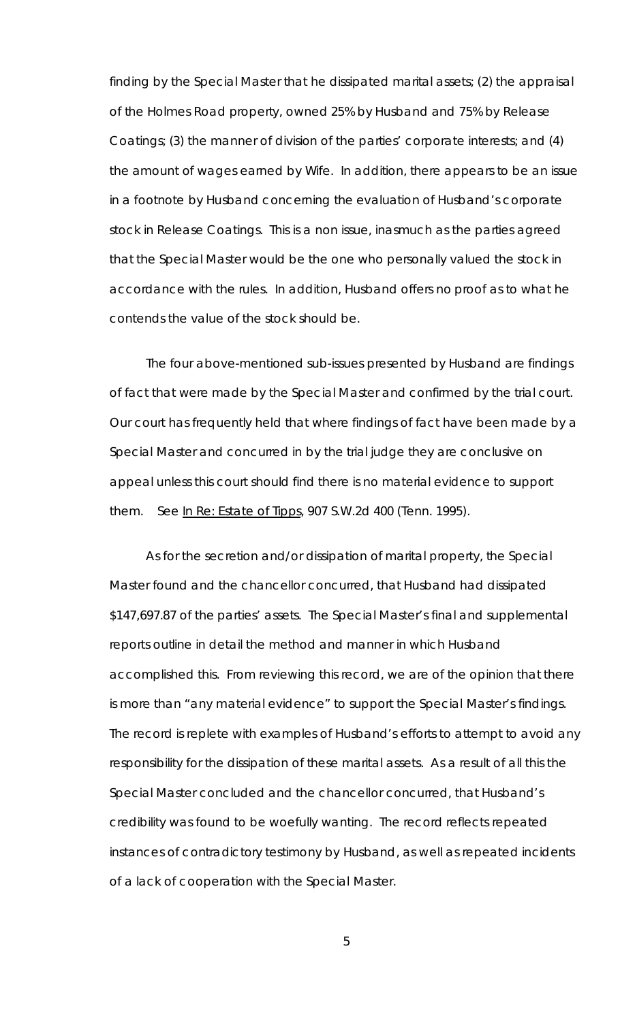finding by the Special Master that he dissipated marital assets; (2) the appraisal of the Holmes Road property, owned 25% by Husband and 75% by Release Coatings; (3) the manner of division of the parties' corporate interests; and (4) the amount of wages earned by Wife. In addition, there appears to be an issue in a footnote by Husband concerning the evaluation of Husband's corporate stock in Release Coatings. This is a non issue, inasmuch as the parties agreed that the Special Master would be the one who personally valued the stock in accordance with the rules. In addition, Husband offers no proof as to what he contends the value of the stock should be.

The four above-mentioned sub-issues presented by Husband are findings of fact that were made by the Special Master and confirmed by the trial court. Our court has frequently held that where findings of fact have been made by a Special Master and concurred in by the trial judge they are conclusive on appeal unless this court should find there is no material evidence to support them. *See* In Re: Estate of Tipps, 907 S.W.2d 400 (Tenn. 1995).

As for the secretion and/or dissipation of marital property, the Special Master found and the chancellor concurred, that Husband had dissipated \$147,697.87 of the parties' assets. The Special Master's final and supplemental reports outline in detail the method and manner in which Husband accomplished this. From reviewing this record, we are of the opinion that there is more than "any material evidence" to support the Special Master's findings. The record is replete with examples of Husband's efforts to attempt to avoid any responsibility for the dissipation of these marital assets. As a result of all this the Special Master concluded and the chancellor concurred, that Husband's credibility was found to be woefully wanting. The record reflects repeated instances of contradictory testimony by Husband, as well as repeated incidents of a lack of cooperation with the Special Master.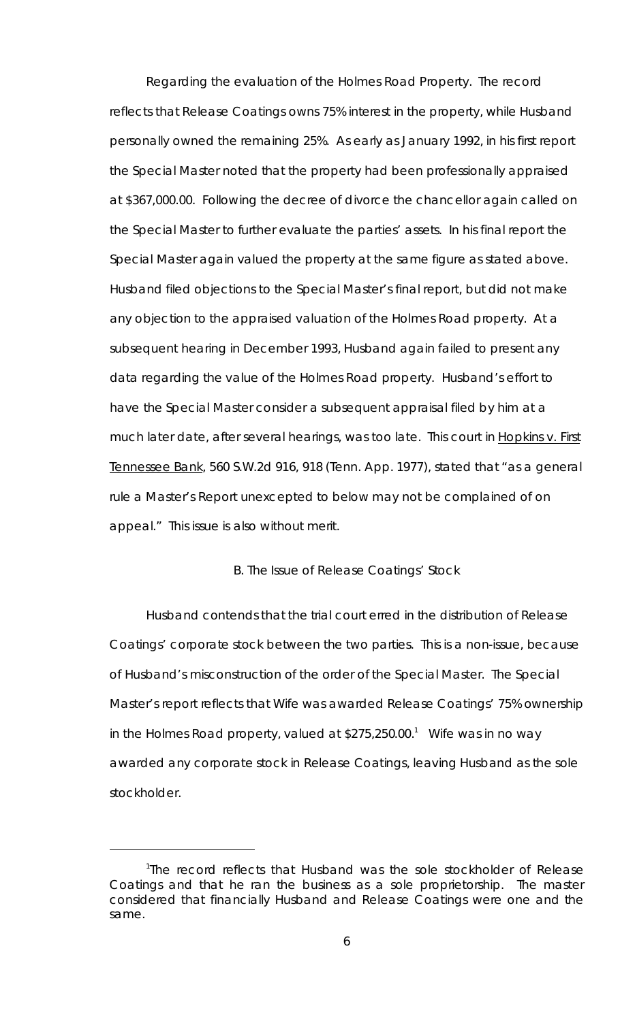Regarding the evaluation of the Holmes Road Property. The record reflects that Release Coatings owns 75% interest in the property, while Husband personally owned the remaining 25%. As early as January 1992, in his first report the Special Master noted that the property had been professionally appraised at \$367,000.00. Following the decree of divorce the chancellor again called on the Special Master to further evaluate the parties' assets. In his final report the Special Master again valued the property at the same figure as stated above. Husband filed objections to the Special Master's final report, but did not make any objection to the appraised valuation of the Holmes Road property. At a subsequent hearing in December 1993, Husband again failed to present any data regarding the value of the Holmes Road property. Husband's effort to have the Special Master consider a subsequent appraisal filed by him at a much later date, after several hearings, was too late. This court in Hopkins v. First Tennessee Bank, 560 S.W.2d 916, 918 (Tenn. App. 1977), stated that "as a general rule a Master's Report unexcepted to below may not be complained of on appeal." This issue is also without merit.

## B. The Issue of Release Coatings' Stock

Husband contends that the trial court erred in the distribution of Release Coatings' corporate stock between the two parties. This is a non-issue, because of Husband's misconstruction of the order of the Special Master. The Special Master's report reflects that Wife was awarded Release Coatings' 75% ownership in the Holmes Road property, valued at \$275,250.00.<sup>1</sup> Wife was in no way awarded any corporate stock in Release Coatings, leaving Husband as the sole stockholder.

<sup>1</sup> The record reflects that Husband was the sole stockholder of Release Coatings and that he ran the business as a sole proprietorship. The master considered that financially Husband and Release Coatings were one and the same.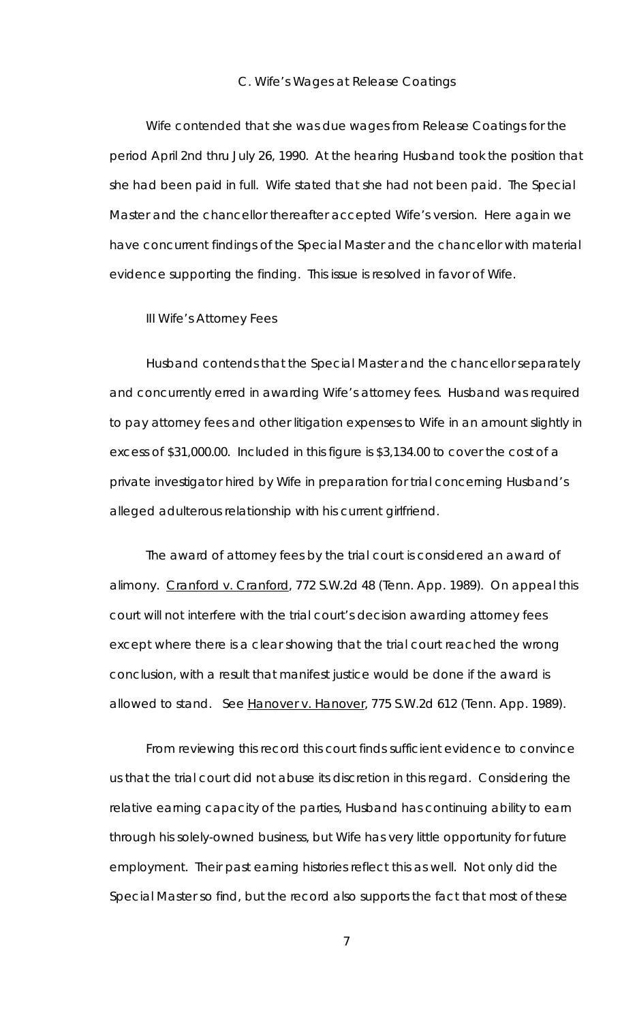#### C. Wife's Wages at Release Coatings

Wife contended that she was due wages from Release Coatings for the period April 2nd thru July 26, 1990. At the hearing Husband took the position that she had been paid in full. Wife stated that she had not been paid. The Special Master and the chancellor thereafter accepted Wife's version. Here again we have concurrent findings of the Special Master and the chancellor with material evidence supporting the finding. This issue is resolved in favor of Wife.

III Wife's Attorney Fees

Husband contends that the Special Master and the chancellor separately and concurrently erred in awarding Wife's attorney fees. Husband was required to pay attorney fees and other litigation expenses to Wife in an amount slightly in excess of \$31,000.00. Included in this figure is \$3,134.00 to cover the cost of a private investigator hired by Wife in preparation for trial concerning Husband's alleged adulterous relationship with his current girlfriend.

The award of attorney fees by the trial court is considered an award of alimony. Cranford v. Cranford, 772 S.W.2d 48 (Tenn. App. 1989). On appeal this court will not interfere with the trial court's decision awarding attorney fees except where there is a clear showing that the trial court reached the wrong conclusion, with a result that manifest justice would be done if the award is allowed to stand. *See* Hanover v. Hanover, 775 S.W.2d 612 (Tenn. App. 1989).

From reviewing this record this court finds sufficient evidence to convince us that the trial court did not abuse its discretion in this regard. Considering the relative earning capacity of the parties, Husband has continuing ability to earn through his solely-owned business, but Wife has very little opportunity for future employment. Their past earning histories reflect this as well. Not only did the Special Master so find, but the record also supports the fact that most of these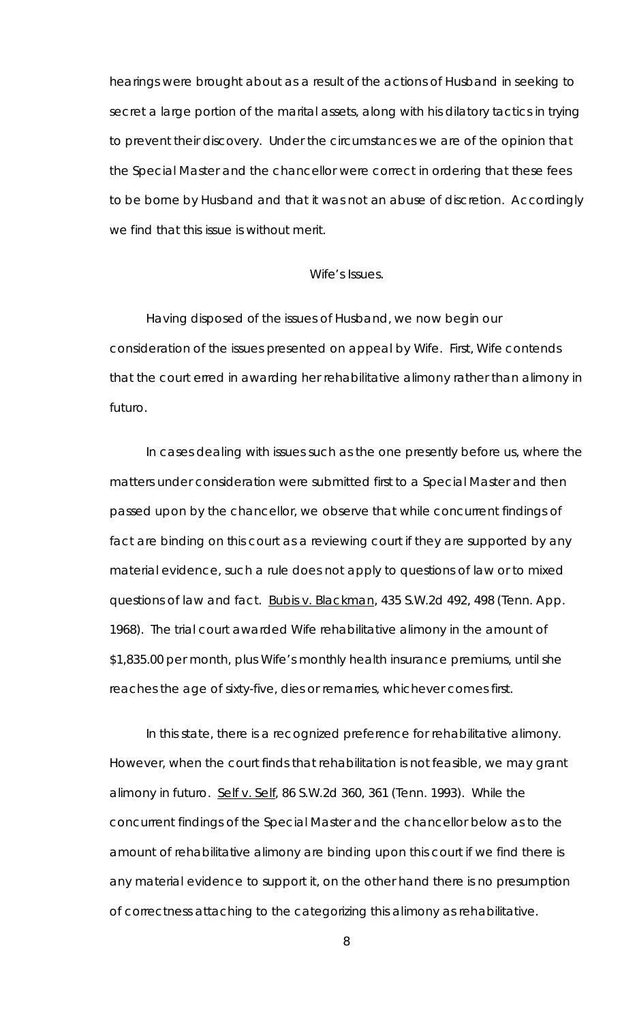hearings were brought about as a result of the actions of Husband in seeking to secret a large portion of the marital assets, along with his dilatory tactics in trying to prevent their discovery. Under the circumstances we are of the opinion that the Special Master and the chancellor were correct in ordering that these fees to be borne by Husband and that it was not an abuse of discretion. Accordingly we find that this issue is without merit.

#### Wife's Issues.

Having disposed of the issues of Husband, we now begin our consideration of the issues presented on appeal by Wife. First, Wife contends that the court erred in awarding her rehabilitative alimony rather than alimony *in futuro*.

In cases dealing with issues such as the one presently before us, where the matters under consideration were submitted first to a Special Master and then passed upon by the chancellor, we observe that while concurrent findings of fact are binding on this court as a reviewing court if they are supported by any material evidence, such a rule does not apply to questions of law or to mixed questions of law and fact. Bubis v. Blackman, 435 S.W.2d 492, 498 (Tenn. App. 1968). The trial court awarded Wife rehabilitative alimony in the amount of \$1,835.00 per month, plus Wife's monthly health insurance premiums, until she reaches the age of sixty-five, dies or remarries, whichever comes first.

In this state, there is a recognized preference for rehabilitative alimony. However, when the court finds that rehabilitation is not feasible, we may grant alimony *in futuro*. Self v. Self, 86 S.W.2d 360, 361 (Tenn. 1993). While the concurrent findings of the Special Master and the chancellor below as to the amount of rehabilitative alimony are binding upon this court if we find there is any material evidence to support it, on the other hand there is no presumption of correctness attaching to the categorizing this alimony as rehabilitative.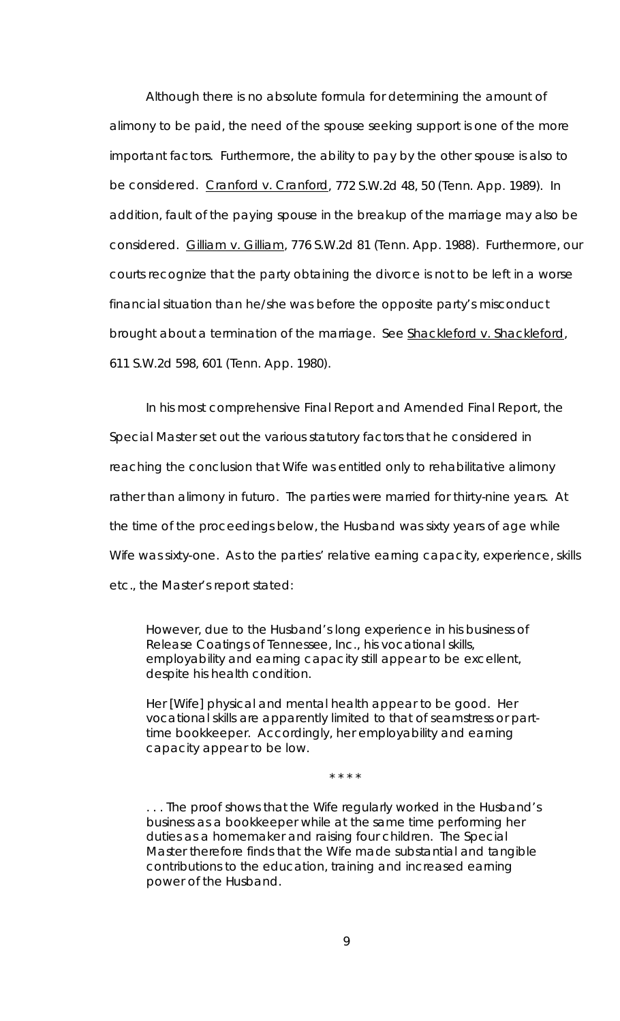Although there is no absolute formula for determining the amount of alimony to be paid, the need of the spouse seeking support is one of the more important factors. Furthermore, the ability to pay by the other spouse is also to be considered. Cranford v. Cranford, 772 S.W.2d 48, 50 (Tenn. App. 1989). In addition, fault of the paying spouse in the breakup of the marriage may also be considered. Gilliam v. Gilliam, 776 S.W.2d 81 (Tenn. App. 1988). Furthermore, our courts recognize that the party obtaining the divorce is not to be left in a worse financial situation than he/she was before the opposite party's misconduct brought about a termination of the marriage. See Shackleford v. Shackleford, 611 S.W.2d 598, 601 (Tenn. App. 1980).

In his most comprehensive Final Report and Amended Final Report, the Special Master set out the various statutory factors that he considered in reaching the conclusion that Wife was entitled only to rehabilitative alimony rather than alimony *in futuro*. The parties were married for thirty-nine years. At the time of the proceedings below, the Husband was sixty years of age while Wife was sixty-one. As to the parties' relative earning capacity, experience, skills etc., the Master's report stated:

However, due to the Husband's long experience in his business of Release Coatings of Tennessee, Inc., his vocational skills, employability and earning capacity still appear to be excellent, despite his health condition.

Her [Wife] physical and mental health appear to be good. Her vocational skills are apparently limited to that of seamstress or parttime bookkeeper. Accordingly, her employability and earning capacity appear to be low.

\* \* \* \*

. . . The proof shows that the Wife regularly worked in the Husband's business as a bookkeeper while at the same time performing her duties as a homemaker and raising four children. The Special Master therefore finds that the Wife made substantial and tangible contributions to the education, training and increased earning power of the Husband.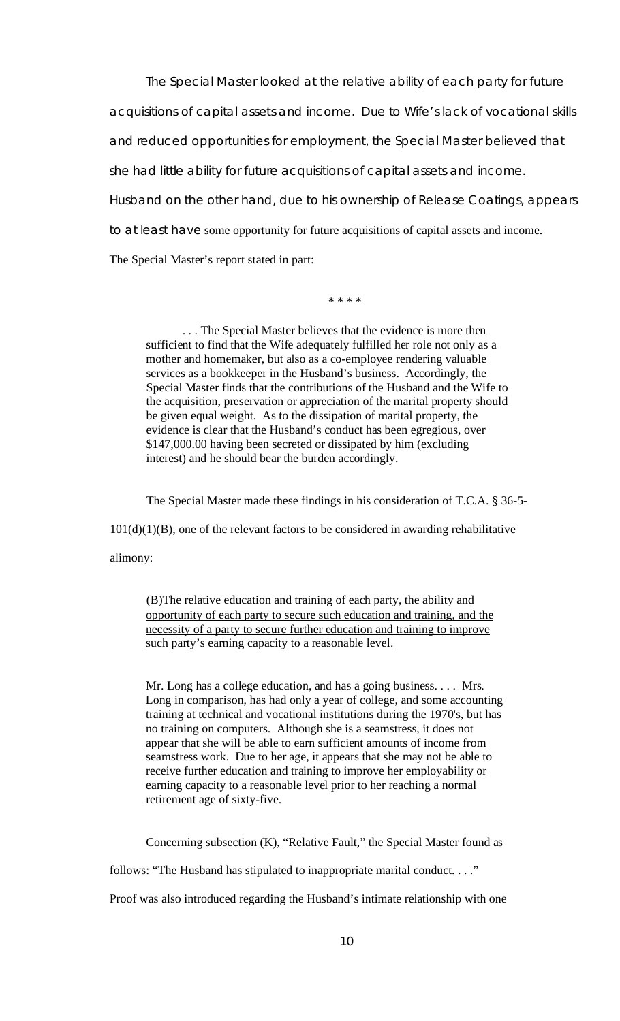The Special Master looked at the relative ability of each party for future acquisitions of capital assets and income. Due to Wife's lack of vocational skills and reduced opportunities for employment, the Special Master believed that she had little ability for future acquisitions of capital assets and income. Husband on the other hand, due to his ownership of Release Coatings, appears to at least have some opportunity for future acquisitions of capital assets and income. The Special Master's report stated in part:

\* \* \* \*

. . . The Special Master believes that the evidence is more then sufficient to find that the Wife adequately fulfilled her role not only as a mother and homemaker, but also as a co-employee rendering valuable services as a bookkeeper in the Husband's business. Accordingly, the Special Master finds that the contributions of the Husband and the Wife to the acquisition, preservation or appreciation of the marital property should be given equal weight. As to the dissipation of marital property, the evidence is clear that the Husband's conduct has been egregious, over \$147,000.00 having been secreted or dissipated by him (excluding interest) and he should bear the burden accordingly.

The Special Master made these findings in his consideration of T.C.A. § 36-5-

 $101(d)(1)(B)$ , one of the relevant factors to be considered in awarding rehabilitative

alimony:

(B)The relative education and training of each party, the ability and opportunity of each party to secure such education and training, and the necessity of a party to secure further education and training to improve such party's earning capacity to a reasonable level.

Mr. Long has a college education, and has a going business.... Mrs. Long in comparison, has had only a year of college, and some accounting training at technical and vocational institutions during the 1970's, but has no training on computers. Although she is a seamstress, it does not appear that she will be able to earn sufficient amounts of income from seamstress work. Due to her age, it appears that she may not be able to receive further education and training to improve her employability or earning capacity to a reasonable level prior to her reaching a normal retirement age of sixty-five.

Concerning subsection (K), "Relative Fault," the Special Master found as

follows: "The Husband has stipulated to inappropriate marital conduct. . . ."

Proof was also introduced regarding the Husband's intimate relationship with one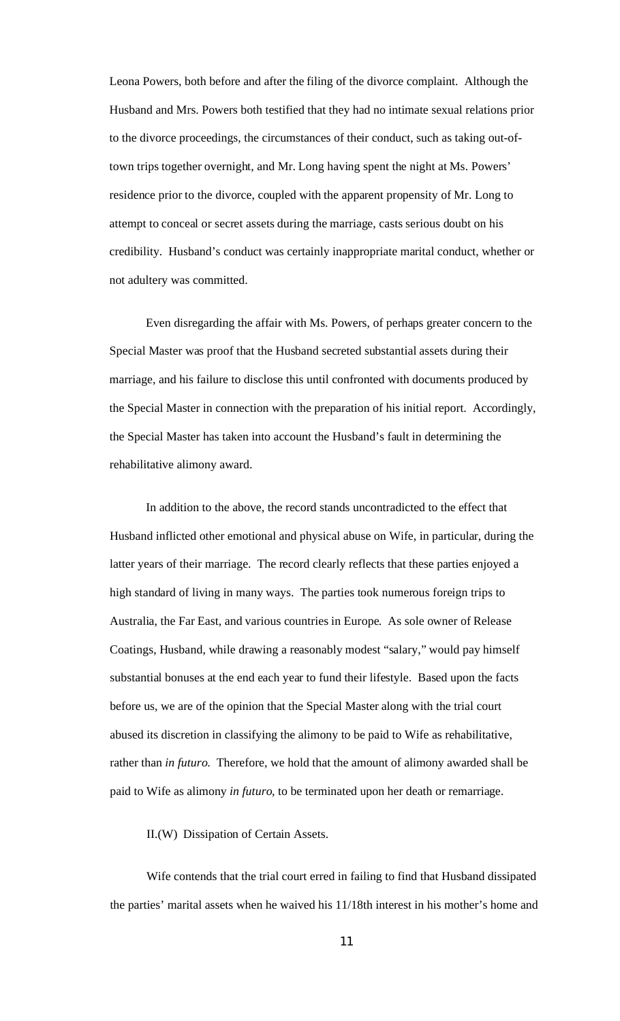Leona Powers, both before and after the filing of the divorce complaint. Although the Husband and Mrs. Powers both testified that they had no intimate sexual relations prior to the divorce proceedings, the circumstances of their conduct, such as taking out-oftown trips together overnight, and Mr. Long having spent the night at Ms. Powers' residence prior to the divorce, coupled with the apparent propensity of Mr. Long to attempt to conceal or secret assets during the marriage, casts serious doubt on his credibility. Husband's conduct was certainly inappropriate marital conduct, whether or not adultery was committed.

Even disregarding the affair with Ms. Powers, of perhaps greater concern to the Special Master was proof that the Husband secreted substantial assets during their marriage, and his failure to disclose this until confronted with documents produced by the Special Master in connection with the preparation of his initial report. Accordingly, the Special Master has taken into account the Husband's fault in determining the rehabilitative alimony award.

In addition to the above, the record stands uncontradicted to the effect that Husband inflicted other emotional and physical abuse on Wife, in particular, during the latter years of their marriage. The record clearly reflects that these parties enjoyed a high standard of living in many ways. The parties took numerous foreign trips to Australia, the Far East, and various countries in Europe. As sole owner of Release Coatings, Husband, while drawing a reasonably modest "salary," would pay himself substantial bonuses at the end each year to fund their lifestyle. Based upon the facts before us, we are of the opinion that the Special Master along with the trial court abused its discretion in classifying the alimony to be paid to Wife as rehabilitative, rather than *in futuro*. Therefore, we hold that the amount of alimony awarded shall be paid to Wife as alimony *in futuro*, to be terminated upon her death or remarriage.

II.(W) Dissipation of Certain Assets.

Wife contends that the trial court erred in failing to find that Husband dissipated the parties' marital assets when he waived his 11/18th interest in his mother's home and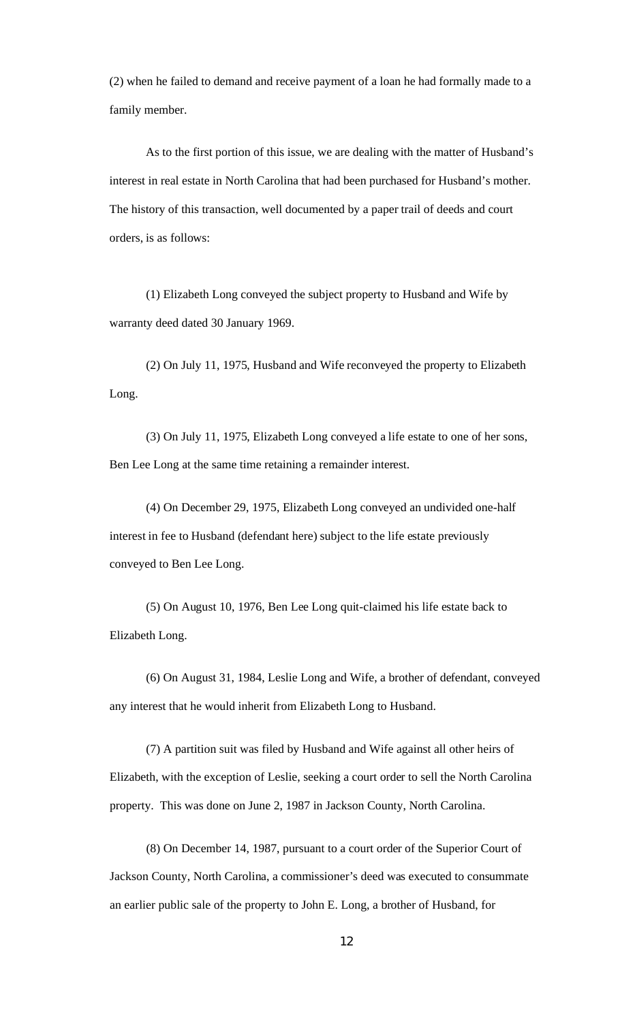(2) when he failed to demand and receive payment of a loan he had formally made to a family member.

As to the first portion of this issue, we are dealing with the matter of Husband's interest in real estate in North Carolina that had been purchased for Husband's mother. The history of this transaction, well documented by a paper trail of deeds and court orders, is as follows:

(1) Elizabeth Long conveyed the subject property to Husband and Wife by warranty deed dated 30 January 1969.

(2) On July 11, 1975, Husband and Wife reconveyed the property to Elizabeth Long.

(3) On July 11, 1975, Elizabeth Long conveyed a life estate to one of her sons, Ben Lee Long at the same time retaining a remainder interest.

(4) On December 29, 1975, Elizabeth Long conveyed an undivided one-half interest in fee to Husband (defendant here) subject to the life estate previously conveyed to Ben Lee Long.

(5) On August 10, 1976, Ben Lee Long quit-claimed his life estate back to Elizabeth Long.

(6) On August 31, 1984, Leslie Long and Wife, a brother of defendant, conveyed any interest that he would inherit from Elizabeth Long to Husband.

(7) A partition suit was filed by Husband and Wife against all other heirs of Elizabeth, with the exception of Leslie, seeking a court order to sell the North Carolina property. This was done on June 2, 1987 in Jackson County, North Carolina.

(8) On December 14, 1987, pursuant to a court order of the Superior Court of Jackson County, North Carolina, a commissioner's deed was executed to consummate an earlier public sale of the property to John E. Long, a brother of Husband, for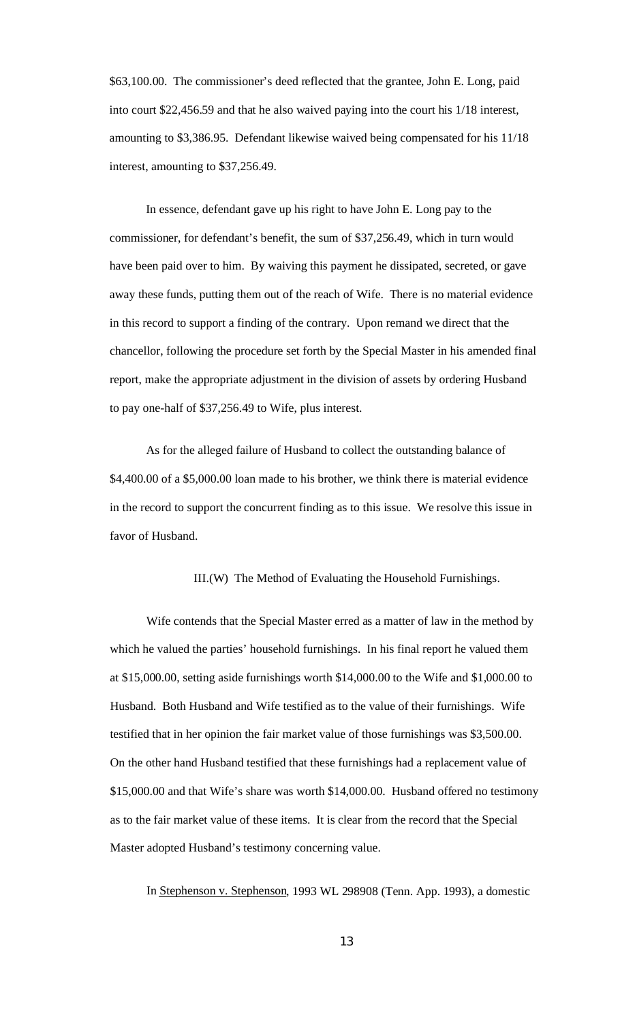\$63,100.00. The commissioner's deed reflected that the grantee, John E. Long, paid into court \$22,456.59 and that he also waived paying into the court his 1/18 interest, amounting to \$3,386.95. Defendant likewise waived being compensated for his 11/18 interest, amounting to \$37,256.49.

In essence, defendant gave up his right to have John E. Long pay to the commissioner, for defendant's benefit, the sum of \$37,256.49, which in turn would have been paid over to him. By waiving this payment he dissipated, secreted, or gave away these funds, putting them out of the reach of Wife. There is no material evidence in this record to support a finding of the contrary. Upon remand we direct that the chancellor, following the procedure set forth by the Special Master in his amended final report, make the appropriate adjustment in the division of assets by ordering Husband to pay one-half of \$37,256.49 to Wife, plus interest.

As for the alleged failure of Husband to collect the outstanding balance of \$4,400.00 of a \$5,000.00 loan made to his brother, we think there is material evidence in the record to support the concurrent finding as to this issue. We resolve this issue in favor of Husband.

III.(W) The Method of Evaluating the Household Furnishings.

Wife contends that the Special Master erred as a matter of law in the method by which he valued the parties' household furnishings. In his final report he valued them at \$15,000.00, setting aside furnishings worth \$14,000.00 to the Wife and \$1,000.00 to Husband. Both Husband and Wife testified as to the value of their furnishings. Wife testified that in her opinion the fair market value of those furnishings was \$3,500.00. On the other hand Husband testified that these furnishings had a replacement value of \$15,000.00 and that Wife's share was worth \$14,000.00. Husband offered no testimony as to the fair market value of these items. It is clear from the record that the Special Master adopted Husband's testimony concerning value.

In Stephenson v. Stephenson, 1993 WL 298908 (Tenn. App. 1993), a domestic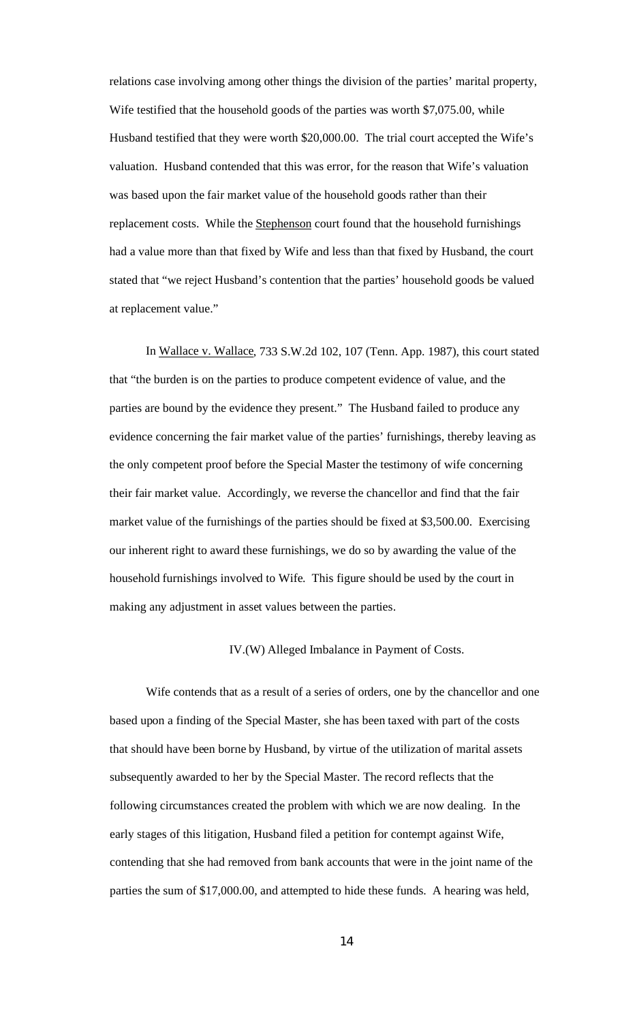relations case involving among other things the division of the parties' marital property, Wife testified that the household goods of the parties was worth \$7,075.00, while Husband testified that they were worth \$20,000.00. The trial court accepted the Wife's valuation. Husband contended that this was error, for the reason that Wife's valuation was based upon the fair market value of the household goods rather than their replacement costs. While the Stephenson court found that the household furnishings had a value more than that fixed by Wife and less than that fixed by Husband, the court stated that "we reject Husband's contention that the parties' household goods be valued at replacement value."

In Wallace v. Wallace, 733 S.W.2d 102, 107 (Tenn. App. 1987), this court stated that "the burden is on the parties to produce competent evidence of value, and the parties are bound by the evidence they present." The Husband failed to produce any evidence concerning the fair market value of the parties' furnishings, thereby leaving as the only competent proof before the Special Master the testimony of wife concerning their fair market value. Accordingly, we reverse the chancellor and find that the fair market value of the furnishings of the parties should be fixed at \$3,500.00. Exercising our inherent right to award these furnishings, we do so by awarding the value of the household furnishings involved to Wife. This figure should be used by the court in making any adjustment in asset values between the parties.

#### IV.(W) Alleged Imbalance in Payment of Costs.

Wife contends that as a result of a series of orders, one by the chancellor and one based upon a finding of the Special Master, she has been taxed with part of the costs that should have been borne by Husband, by virtue of the utilization of marital assets subsequently awarded to her by the Special Master. The record reflects that the following circumstances created the problem with which we are now dealing. In the early stages of this litigation, Husband filed a petition for contempt against Wife, contending that she had removed from bank accounts that were in the joint name of the parties the sum of \$17,000.00, and attempted to hide these funds. A hearing was held,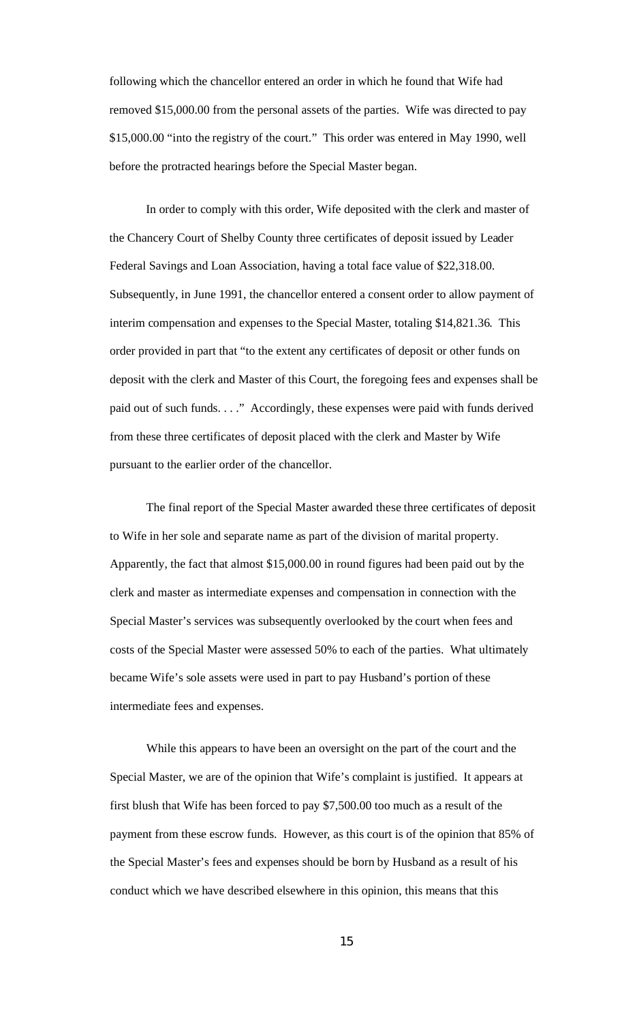following which the chancellor entered an order in which he found that Wife had removed \$15,000.00 from the personal assets of the parties. Wife was directed to pay \$15,000.00 "into the registry of the court." This order was entered in May 1990, well before the protracted hearings before the Special Master began.

In order to comply with this order, Wife deposited with the clerk and master of the Chancery Court of Shelby County three certificates of deposit issued by Leader Federal Savings and Loan Association, having a total face value of \$22,318.00. Subsequently, in June 1991, the chancellor entered a consent order to allow payment of interim compensation and expenses to the Special Master, totaling \$14,821.36. This order provided in part that "to the extent any certificates of deposit or other funds on deposit with the clerk and Master of this Court, the foregoing fees and expenses shall be paid out of such funds. . . ." Accordingly, these expenses were paid with funds derived from these three certificates of deposit placed with the clerk and Master by Wife pursuant to the earlier order of the chancellor.

The final report of the Special Master awarded these three certificates of deposit to Wife in her sole and separate name as part of the division of marital property. Apparently, the fact that almost \$15,000.00 in round figures had been paid out by the clerk and master as intermediate expenses and compensation in connection with the Special Master's services was subsequently overlooked by the court when fees and costs of the Special Master were assessed 50% to each of the parties. What ultimately became Wife's sole assets were used in part to pay Husband's portion of these intermediate fees and expenses.

While this appears to have been an oversight on the part of the court and the Special Master, we are of the opinion that Wife's complaint is justified. It appears at first blush that Wife has been forced to pay \$7,500.00 too much as a result of the payment from these escrow funds. However, as this court is of the opinion that 85% of the Special Master's fees and expenses should be born by Husband as a result of his conduct which we have described elsewhere in this opinion, this means that this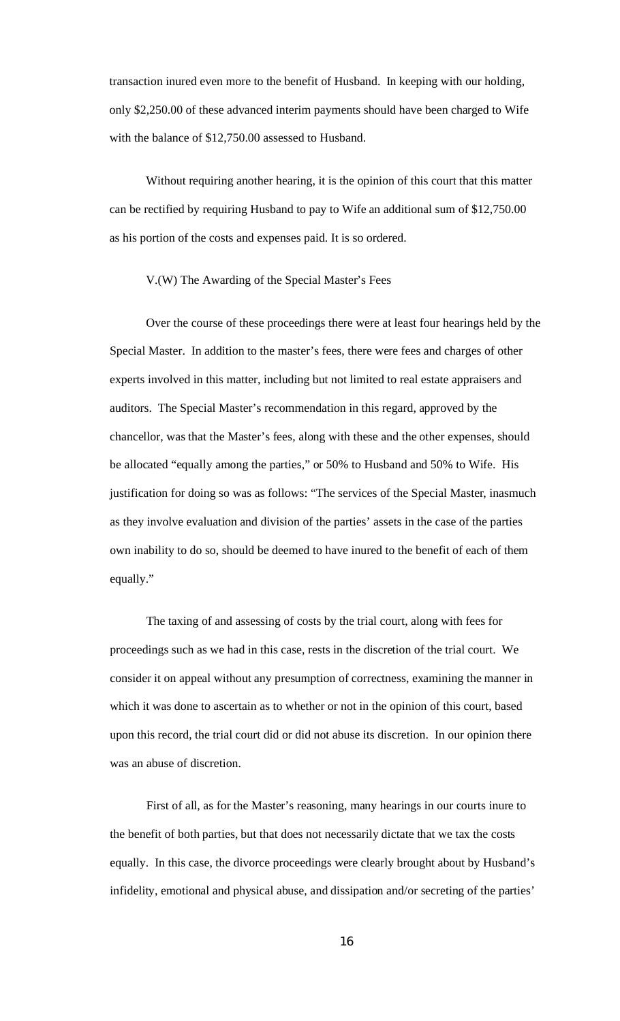transaction inured even more to the benefit of Husband. In keeping with our holding, only \$2,250.00 of these advanced interim payments should have been charged to Wife with the balance of \$12,750.00 assessed to Husband.

Without requiring another hearing, it is the opinion of this court that this matter can be rectified by requiring Husband to pay to Wife an additional sum of \$12,750.00 as his portion of the costs and expenses paid. It is so ordered.

#### V.(W) The Awarding of the Special Master's Fees

Over the course of these proceedings there were at least four hearings held by the Special Master. In addition to the master's fees, there were fees and charges of other experts involved in this matter, including but not limited to real estate appraisers and auditors. The Special Master's recommendation in this regard, approved by the chancellor, was that the Master's fees, along with these and the other expenses, should be allocated "equally among the parties," or 50% to Husband and 50% to Wife. His justification for doing so was as follows: "The services of the Special Master, inasmuch as they involve evaluation and division of the parties' assets in the case of the parties own inability to do so, should be deemed to have inured to the benefit of each of them equally."

The taxing of and assessing of costs by the trial court, along with fees for proceedings such as we had in this case, rests in the discretion of the trial court. We consider it on appeal without any presumption of correctness, examining the manner in which it was done to ascertain as to whether or not in the opinion of this court, based upon this record, the trial court did or did not abuse its discretion. In our opinion there was an abuse of discretion.

First of all, as for the Master's reasoning, many hearings in our courts inure to the benefit of both parties, but that does not necessarily dictate that we tax the costs equally. In this case, the divorce proceedings were clearly brought about by Husband's infidelity, emotional and physical abuse, and dissipation and/or secreting of the parties'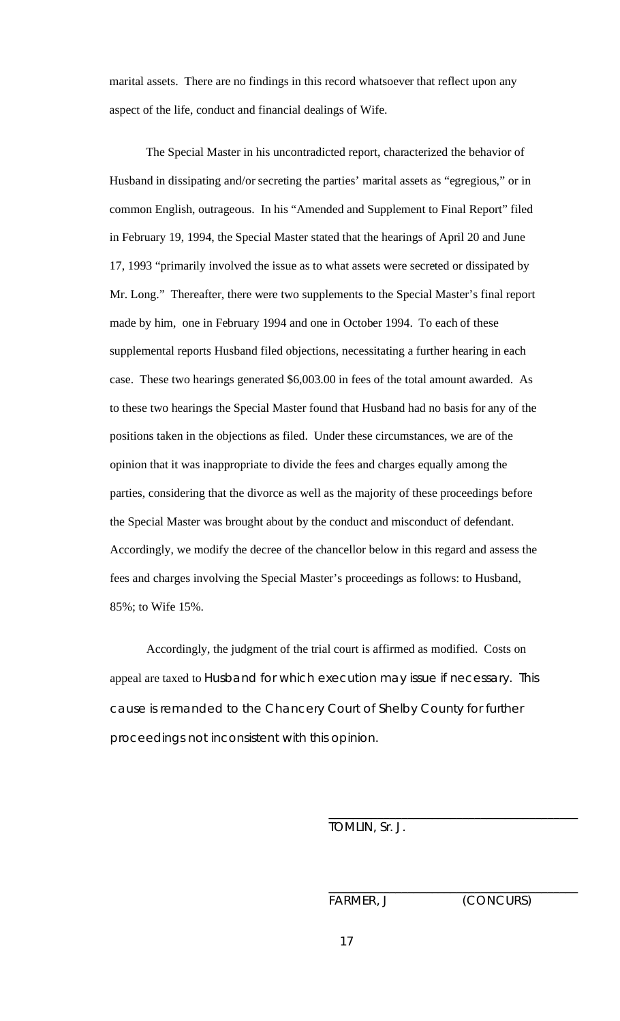marital assets. There are no findings in this record whatsoever that reflect upon any aspect of the life, conduct and financial dealings of Wife.

The Special Master in his uncontradicted report, characterized the behavior of Husband in dissipating and/or secreting the parties' marital assets as "egregious," or in common English, outrageous. In his "Amended and Supplement to Final Report" filed in February 19, 1994, the Special Master stated that the hearings of April 20 and June 17, 1993 "primarily involved the issue as to what assets were secreted or dissipated by Mr. Long." Thereafter, there were two supplements to the Special Master's final report made by him, one in February 1994 and one in October 1994. To each of these supplemental reports Husband filed objections, necessitating a further hearing in each case. These two hearings generated \$6,003.00 in fees of the total amount awarded. As to these two hearings the Special Master found that Husband had no basis for any of the positions taken in the objections as filed. Under these circumstances, we are of the opinion that it was inappropriate to divide the fees and charges equally among the parties, considering that the divorce as well as the majority of these proceedings before the Special Master was brought about by the conduct and misconduct of defendant. Accordingly, we modify the decree of the chancellor below in this regard and assess the fees and charges involving the Special Master's proceedings as follows: to Husband, 85%; to Wife 15%.

Accordingly, the judgment of the trial court is affirmed as modified. Costs on appeal are taxed to Husband for which execution may issue if necessary. This cause is remanded to the Chancery Court of Shelby County for further proceedings not inconsistent with this opinion.

TOMLIN, Sr. J.

FARMER, J (CONCURS)

\_\_\_\_\_\_\_\_\_\_\_\_\_\_\_\_\_\_\_\_\_\_\_\_\_\_\_\_\_\_\_\_\_\_\_\_\_\_\_\_\_

\_\_\_\_\_\_\_\_\_\_\_\_\_\_\_\_\_\_\_\_\_\_\_\_\_\_\_\_\_\_\_\_\_\_\_\_\_\_\_\_\_